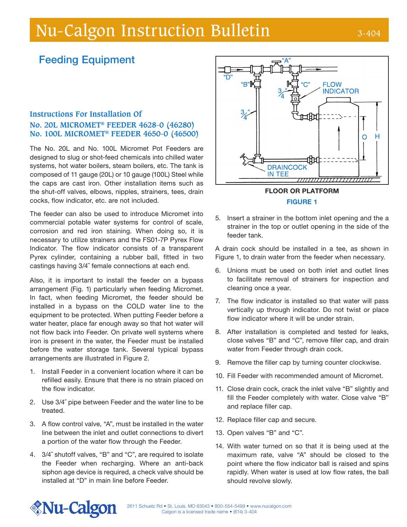# Nu-Calgon Instruction Bulletin 3-404

# Feeding Equipment

## **Instructions For Installation Of No. 20L MICROMET® FEEDER 4628-0 (46280) No. 100L MICROMET® FEEDER 4650-0 (46500)**

The No. 20L and No. 100L Micromet Pot Feeders are designed to slug or shot-feed chemicals into chilled water systems, hot water boilers, steam boilers, etc. The tank is composed of 11 gauge (20L) or 10 gauge (100L) Steel while the caps are cast iron. Other installation items such as the shut-off valves, elbows, nipples, strainers, tees, drain cocks, flow indicator, etc. are not included.

The feeder can also be used to introduce Micromet into commercial potable water systems for control of scale, corrosion and red iron staining. When doing so, it is necessary to utilize strainers and the FS01-7P Pyrex Flow Indicator. The flow indicator consists of a transparent Pyrex cylinder, containing a rubber ball, fitted in two castings having 3/4˝ female connections at each end.

Also, it is important to install the feeder on a bypass arrangement (Fig. 1) particularly when feeding Micromet. In fact, when feeding Micromet, the feeder should be installed in a bypass on the COLD water line to the equipment to be protected. When putting Feeder before a water heater, place far enough away so that hot water will not flow back into Feeder. On private well systems where iron is present in the water, the Feeder must be installed before the water storage tank. Several typical bypass arrangements are illustrated in Figure 2.

- 1. Install Feeder in a convenient location where it can be refilled easily. Ensure that there is no strain placed on the flow indicator.
- 2. Use 3/4˝ pipe between Feeder and the water line to be treated.
- 3. A flow control valve, "A", must be installed in the water line between the inlet and outlet connections to divert a portion of the water flow through the Feeder.
- 4. 3/4˝ shutoff valves, "B" and "C", are required to isolate the Feeder when recharging. Where an anti-back siphon age device is required, a check valve should be installed at "D" in main line before Feeder.



FIGURE 1

5. Insert a strainer in the bottom inlet opening and the a strainer in the top or outlet opening in the side of the feeder tank.

A drain cock should be installed in a tee, as shown in Figure 1, to drain water from the feeder when necessary.

- 6. Unions must be used on both inlet and outlet lines to facilitate removal of strainers for inspection and cleaning once a year.
- 7. The flow indicator is installed so that water will pass vertically up through indicator. Do not twist or place flow indicator where it will be under strain.
- 8. After installation is completed and tested for leaks, close valves "B" and "C", remove filler cap, and drain water from Feeder through drain cock.
- 9. Remove the filler cap by turning counter clockwise.
- 10. Fill Feeder with recommended amount of Micromet.
- 11. Close drain cock, crack the inlet valve "B" slightly and fill the Feeder completely with water. Close valve "B" and replace filler cap.
- 12. Replace filler cap and secure.
- 13. Open valves "B" and "C".
- 14. With water turned on so that it is being used at the maximum rate, valve "A" should be closed to the point where the flow indicator ball is raised and spins rapidly. When water is used at low flow rates, the ball should revolve slowly.